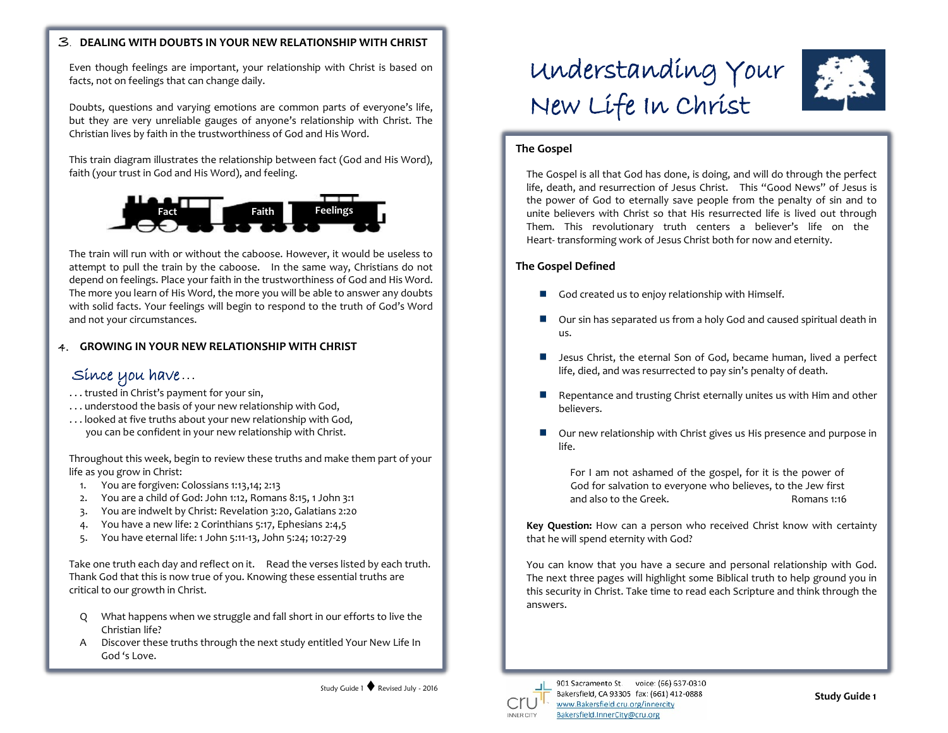#### . **DEALING WITH DOUBTS IN YOUR NEW RELATIONSHIP WITH CHRIST**

Even though feelings are important, your relationship with Christ is based on facts, not on feelings that can change daily.

Doubts, questions and varying emotions are common parts of everyone's life, but they are very unreliable gauges of anyone's relationship with Christ. The Christian lives by faith in the trustworthiness of God and His Word.

This train diagram illustrates the relationship between fact (God and His Word), faith (your trust in God and His Word), and feeling.



The train will run with or without the caboose. However, it would be useless to attempt to pull the train by the caboose. In the same way, Christians do not depend on feelings. Place your faith in the trustworthiness of God and His Word. The more you learn of His Word, the more you will be able to answer any doubts with solid facts. Your feelings will begin to respond to the truth of God's Word and not your circumstances.

#### 4. **GROWING IN YOUR NEW RELATIONSHIP WITH CHRIST**

## Since you have...

- . . . trusted in Christ's payment for your sin,
- . . . understood the basis of your new relationship with God,
- . . . looked at five truths about your new relationship with God, you can be confident in your new relationship with Christ.

Throughout this week, begin to review these truths and make them part of your life as you grow in Christ:

- 1. You are forgiven: Colossians 1:13,14; 2:13
- 2. You are a child of God: John 1:12, Romans 8:15, 1 John 3:1
- 3. You are indwelt by Christ: Revelation 3:20, Galatians 2:20
- 4. You have a new life: 2 Corinthians 5:17, Ephesians 2:4,5
- 5. You have eternal life: 1 John 5:11-13, John 5:24; 10:27-29

Take one truth each day and reflect on it. Read the verses listed by each truth. Thank God that this is now true of you. Knowing these essential truths are critical to our growth in Christ.

- Q What happens when we struggle and fall short in our efforts to live the Christian life?
- A Discover these truths through the next study entitled Your New Life In God 's Love.

# Understanding Your New Life In Christ



#### **The Gospel**

The Gospel is all that God has done, is doing, and will do through the perfect life, death, and resurrection of Jesus Christ. This "Good News" of Jesus is the power of God to eternally save people from the penalty of sin and to unite believers with Christ so that His resurrected life is lived out through Them. This revolutionary truth centers a believer's life on the Heart- transforming work of Jesus Christ both for now and eternity.

#### **The Gospel Defined**

- God created us to enjoy relationship with Himself.  $\blacksquare$
- Our sin has separated us from a holy God and caused spiritual death in us.
- Jesus Christ, the eternal Son of God, became human, lived a perfect п life, died, and was resurrected to pay sin's penalty of death.
- Repentance and trusting Christ eternally unites us with Him and other believers.
- Our new relationship with Christ gives us His presence and purpose in life.

For I am not ashamed of the gospel, for it is the power of God for salvation to everyone who believes, to the Jew first and also to the Greek. The Romans 1:16

**Key Question:** How can a person who received Christ know with certainty that he will spend eternity with God?

You can know that you have a secure and personal relationship with God. The next three pages will highlight some Biblical truth to help ground you in this security in Christ. Take time to read each Scripture and think through the answers.